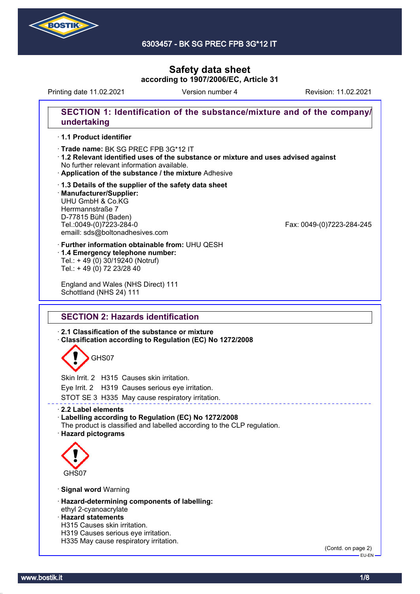

#### 6303457 - BK SG PREC FPB 3G\*12 IT

# **Safety data sheet according to 1907/2006/EC, Article 31**

Printing date 11.02.2021 **Revision: 11.02.2021** Version number 4 Revision: 11.02.2021

# **SECTION 1: Identification of the substance/mixture and of the company/ undertaking**

#### · **1.1 Product identifier**

· **Trade name: BK SG PREC FPB 3G\*12 IT** 

- · **1.2 Relevant identified uses of the substance or mixture and uses advised against** No further relevant information available.
- · **Application of the substance / the mixture** Adhesive
- · **1.3 Details of the supplier of the safety data sheet** · **Manufacturer/Supplier:** UHU GmbH & Co.KG Herrmannstraße 7 D-77815 Bühl (Baden)<br>Tel.:0049-(0)7223-284-0 emaill: sds@boltonadhesives.com

Fax: 0049-(0)7223-284-245

- · **Further information obtainable from:** UHU QESH · **1.4 Emergency telephone number:**
- Tel.: + 49 (0) 30/19240 (Notruf) Tel.: + 49 (0) 72 23/28 40

England and Wales (NHS Direct) 111 Schottland (NHS 24) 111

## **SECTION 2: Hazards identification**

· **2.1 Classification of the substance or mixture**

· **Classification according to Regulation (EC) No 1272/2008**

# GHS07

Skin Irrit. 2 H315 Causes skin irritation.

Eye Irrit. 2 H319 Causes serious eye irritation.

STOT SE 3 H335 May cause respiratory irritation.

#### · **2.2 Label elements**

#### · **Labelling according to Regulation (EC) No 1272/2008**

The product is classified and labelled according to the CLP regulation. · **Hazard pictograms**



#### · **Signal word** Warning

- · **Hazard-determining components of labelling:** ethyl 2-cyanoacrylate
- · **Hazard statements**
- H315 Causes skin irritation.
- H319 Causes serious eye irritation.
- H335 May cause respiratory irritation.

(Contd. on page 2) EU-EN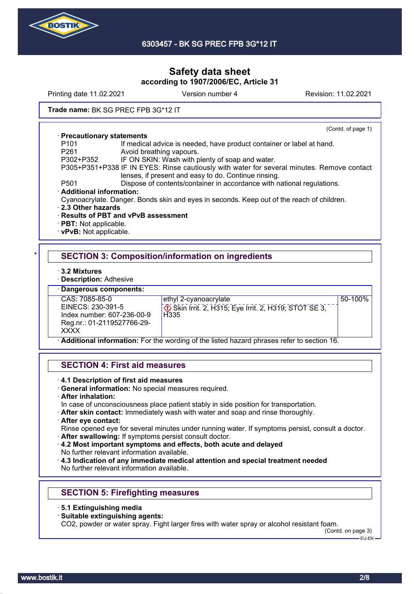

Printing date 11.02.2021 **Version number 4** Revision: 11.02.2021 **Trade name:** BK SG PREC FPB 3G\*12 IT (Contd. of page 1) · **Precautionary statements** P101 If medical advice is needed, have product container or label at hand.<br>P261 Mooid breathing vapours Avoid breathing vapours. P302+P352 IF ON SKIN: Wash with plenty of soap and water. P305+P351+P338 IF IN EYES: Rinse cautiously with water for several minutes. Remove contact lenses, if present and easy to do. Continue rinsing.

P501 Dispose of contents/container in accordance with national regulations.

· **Additional information:**

Cyanoacrylate. Danger. Bonds skin and eyes in seconds. Keep out of the reach of children.

- · **2.3 Other hazards**
- · **Results of PBT and vPvB assessment**
- · **PBT:** Not applicable.
- · **vPvB:** Not applicable.

## **SECTION 3: Composition/information on ingredients**

· **3.2 Mixtures**

· **Description:** Adhesive

· **Dangerous components:**

CAS: 7085-85-0 EINECS: 230-391-5 Index number: 607-236-00-9 Reg.nr.: 01-2119527766-29- **XXXX** 

ethyl 2-cyanoacrylate

 Skin Irrit. 2, H315; Eye Irrit. 2, H319; STOT SE 3, H<sub>335</sub>

50-100%

· **Additional information:** For the wording of the listed hazard phrases refer to section 16.

#### **SECTION 4: First aid measures**

- · **4.1 Description of first aid measures**
- · **General information:** No special measures required.
- · **After inhalation:**

In case of unconsciousness place patient stably in side position for transportation.

· **After skin contact:** Immediately wash with water and soap and rinse thoroughly.

#### · **After eye contact:**

Rinse opened eye for several minutes under running water. If symptoms persist, consult a doctor.

- · **After swallowing:** If symptoms persist consult doctor.
- · **4.2 Most important symptoms and effects, both acute and delayed** No further relevant information available.

· **4.3 Indication of any immediate medical attention and special treatment needed** No further relevant information available.

## **SECTION 5: Firefighting measures**

- · **5.1 Extinguishing media**
- · **Suitable extinguishing agents:**

CO2, powder or water spray. Fight larger fires with water spray or alcohol resistant foam.

(Contd. on page 3) EU-EN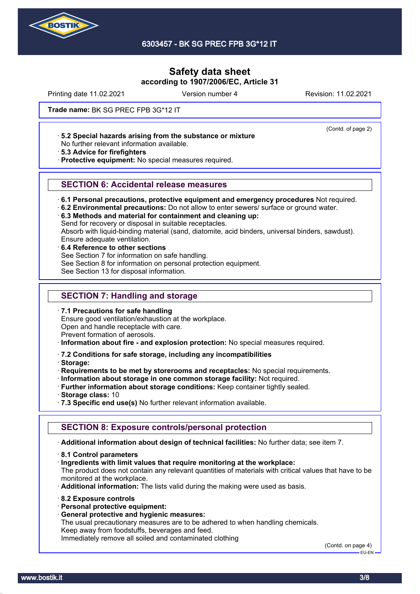

Printing date 11.02.2021 **Version number 4** Revision: 11.02.2021

(Contd. of page 2)

#### **Trade name:** BK SG PREC FPB 3G\*12 IT

· **5.2 Special hazards arising from the substance or mixture**

No further relevant information available.

· **5.3 Advice for firefighters**

· **Protective equipment:** No special measures required.

#### **SECTION 6: Accidental release measures**

· **6.1 Personal precautions, protective equipment and emergency procedures** Not required.

· **6.2 Environmental precautions:** Do not allow to enter sewers/ surface or ground water.

· **6.3 Methods and material for containment and cleaning up:**

Send for recovery or disposal in suitable receptacles.

Absorb with liquid-binding material (sand, diatomite, acid binders, universal binders, sawdust). Ensure adequate ventilation.

· **6.4 Reference to other sections** See Section 7 for information on safe handling. See Section 8 for information on personal protection equipment. See Section 13 for disposal information.

# **SECTION 7: Handling and storage**

· **7.1 Precautions for safe handling** Ensure good ventilation/exhaustion at the workplace.

Open and handle receptacle with care.

Prevent formation of aerosols.

- · **Information about fire and explosion protection:** No special measures required.
- · **7.2 Conditions for safe storage, including any incompatibilities**

· **Storage:**

· **Requirements to be met by storerooms and receptacles:** No special requirements.

- · **Information about storage in one common storage facility:** Not required.
- · **Further information about storage conditions:** Keep container tightly sealed.
- · **Storage class:** 10
- · **7.3 Specific end use(s)** No further relevant information available.

#### **SECTION 8: Exposure controls/personal protection**

· **Additional information about design of technical facilities:** No further data; see item 7.

- · **8.1 Control parameters**
- · **Ingredients with limit values that require monitoring at the workplace:**

The product does not contain any relevant quantities of materials with critical values that have to be monitored at the workplace.

· **Additional information:** The lists valid during the making were used as basis.

- · **8.2 Exposure controls**
- · **Personal protective equipment:**
- · **General protective and hygienic measures:**

The usual precautionary measures are to be adhered to when handling chemicals. Keep away from foodstuffs, beverages and feed.

Immediately remove all soiled and contaminated clothing

(Contd. on page 4) EU-EN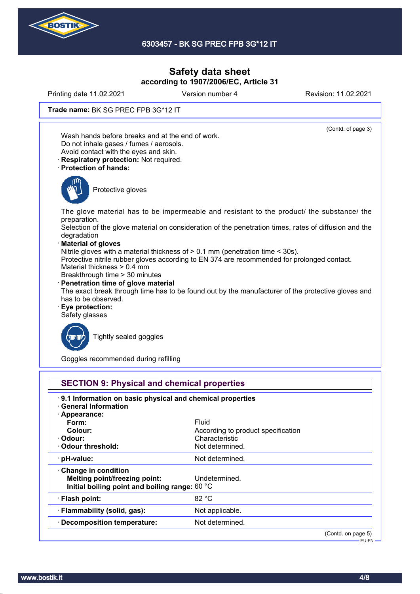

Printing date 11.02.2021 Version number 4 Revision: 11.02.2021

**Trade name:** BK SG PREC FPB 3G\*12 IT

(Contd. of page 3) Wash hands before breaks and at the end of work. Do not inhale gases / fumes / aerosols. Avoid contact with the eyes and skin. · **Respiratory protection:** Not required. · **Protection of hands:** Protective gloves The glove material has to be impermeable and resistant to the product/ the substance/ the preparation. Selection of the glove material on consideration of the penetration times, rates of diffusion and the degradation · **Material of gloves** Nitrile gloves with a material thickness of > 0.1 mm (penetration time < 30s). Protective nitrile rubber gloves according to EN 374 are recommended for prolonged contact. Material thickness > 0.4 mm Breakthrough time > 30 minutes · **Penetration time of glove material** The exact break through time has to be found out by the manufacturer of the protective gloves and has to be observed. · **Eye protection:** Safety glasses Tightly sealed goggles

Goggles recommended during refilling

| 9.1 Information on basic physical and chemical properties |                                    |  |
|-----------------------------------------------------------|------------------------------------|--|
| <b>General Information</b>                                |                                    |  |
| · Appearance:                                             |                                    |  |
| Form:                                                     | Fluid                              |  |
| Colour:                                                   | According to product specification |  |
| · Odour:                                                  | Characteristic                     |  |
| Odour threshold:                                          | Not determined.                    |  |
| $\cdot$ pH-value:                                         | Not determined.                    |  |
| $\cdot$ Change in condition                               |                                    |  |
| Melting point/freezing point:                             | Undetermined.                      |  |
| Initial boiling point and boiling range: 60 °C            |                                    |  |
| · Flash point:                                            | 82 °C                              |  |
| · Flammability (solid, gas):                              | Not applicable.                    |  |
| · Decomposition temperature:                              | Not determined.                    |  |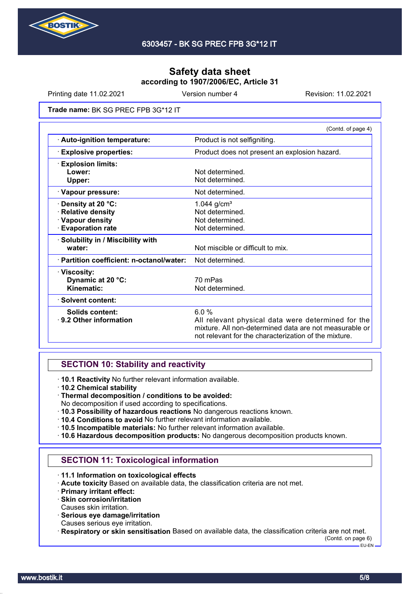

Printing date 11.02.2021 **Version number 4** Revision: 11.02.2021

#### **Trade name:** BK SG PREC FPB 3G\*12 IT

|                                            | (Contd. of page 4)                                                                                                                                                            |  |
|--------------------------------------------|-------------------------------------------------------------------------------------------------------------------------------------------------------------------------------|--|
| · Auto-ignition temperature:               | Product is not selfigniting.                                                                                                                                                  |  |
| <b>Explosive properties:</b>               | Product does not present an explosion hazard.                                                                                                                                 |  |
| <b>Explosion limits:</b>                   |                                                                                                                                                                               |  |
| Lower:                                     | Not determined.                                                                                                                                                               |  |
| Upper:                                     | Not determined.                                                                                                                                                               |  |
| · Vapour pressure:                         | Not determined.                                                                                                                                                               |  |
| Density at 20 °C:                          | 1.044 $g/cm^{3}$                                                                                                                                                              |  |
| <b>Relative density</b>                    | Not determined.                                                                                                                                                               |  |
| · Vapour density                           | Not determined.                                                                                                                                                               |  |
| <b>Evaporation rate</b>                    | Not determined.                                                                                                                                                               |  |
| · Solubility in / Miscibility with         |                                                                                                                                                                               |  |
| water:                                     | Not miscible or difficult to mix.                                                                                                                                             |  |
| · Partition coefficient: n-octanol/water:  | Not determined.                                                                                                                                                               |  |
| · Viscosity:                               |                                                                                                                                                                               |  |
| Dynamic at 20 °C:                          | 70 mPas                                                                                                                                                                       |  |
| Kinematic:                                 | Not determined.                                                                                                                                                               |  |
| · Solvent content:                         |                                                                                                                                                                               |  |
| Solids content:<br>⋅ 9.2 Other information | 6.0%<br>All relevant physical data were determined for the<br>mixture. All non-determined data are not measurable or<br>not relevant for the characterization of the mixture. |  |

#### **SECTION 10: Stability and reactivity**

· **10.1 Reactivity** No further relevant information available.

- · **10.2 Chemical stability**
- · **Thermal decomposition / conditions to be avoided:**
- No decomposition if used according to specifications.
- · **10.3 Possibility of hazardous reactions** No dangerous reactions known.
- · **10.4 Conditions to avoid** No further relevant information available.
- · **10.5 Incompatible materials:** No further relevant information available.
- · **10.6 Hazardous decomposition products:** No dangerous decomposition products known.

## **SECTION 11: Toxicological information**

- · **11.1 Information on toxicological effects**
- · **Acute toxicity** Based on available data, the classification criteria are not met.
- · **Primary irritant effect:**
- · **Skin corrosion/irritation**
- Causes skin irritation.
- · **Serious eye damage/irritation**
- Causes serious eye irritation.
- · **Respiratory or skin sensitisation** Based on available data, the classification criteria are not met.

(Contd. on page 6)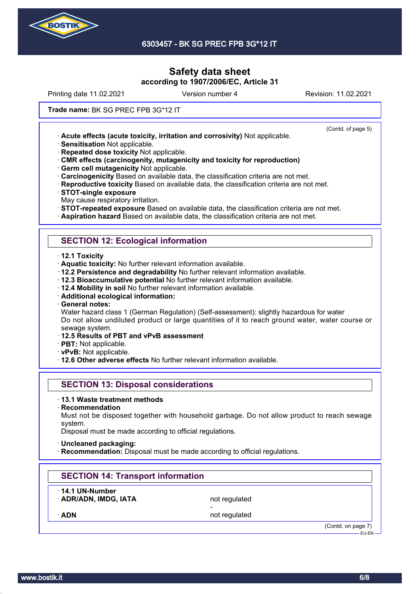

Printing date 11.02.2021 **Version number 4** Revision: 11.02.2021

(Contd. of page 5)

#### **Trade name:** BK SG PREC FPB 3G\*12 IT

· **Acute effects (acute toxicity, irritation and corrosivity)** Not applicable.

· **Sensitisation** Not applicable.

· **Repeated dose toxicity** Not applicable.

· **CMR effects (carcinogenity, mutagenicity and toxicity for reproduction)**

· **Germ cell mutagenicity** Not applicable.

· **Carcinogenicity** Based on available data, the classification criteria are not met.

· **Reproductive toxicity** Based on available data, the classification criteria are not met.

· **STOT-single exposure**

May cause respiratory irritation.

· **STOT-repeated exposure** Based on available data, the classification criteria are not met.

· **Aspiration hazard** Based on available data, the classification criteria are not met.

## **SECTION 12: Ecological information**

· **12.1 Toxicity**

· **Aquatic toxicity:** No further relevant information available.

- · **12.2 Persistence and degradability** No further relevant information available.
- · **12.3 Bioaccumulative potential** No further relevant information available.
- · **12.4 Mobility in soil** No further relevant information available.
- · **Additional ecological information:**

· **General notes:**

Water hazard class 1 (German Regulation) (Self-assessment): slightly hazardous for water Do not allow undiluted product or large quantities of it to reach ground water, water course or sewage system.

- · **12.5 Results of PBT and vPvB assessment**
- · **PBT:** Not applicable.
- · **vPvB:** Not applicable.
- · **12.6 Other adverse effects** No further relevant information available.

## **SECTION 13: Disposal considerations**

#### · **13.1 Waste treatment methods**

· **Recommendation**

Must not be disposed together with household garbage. Do not allow product to reach sewage system.

Disposal must be made according to official regulations.

- · **Uncleaned packaging:**
- **Recommendation:** Disposal must be made according to official regulations.

## **SECTION 14: Transport information**

· **14.1 UN-Number**

· **ADR/ADN, IMDG, IATA** not regulated -

ADN **ADN** not regulated

(Contd. on page 7) EU-EN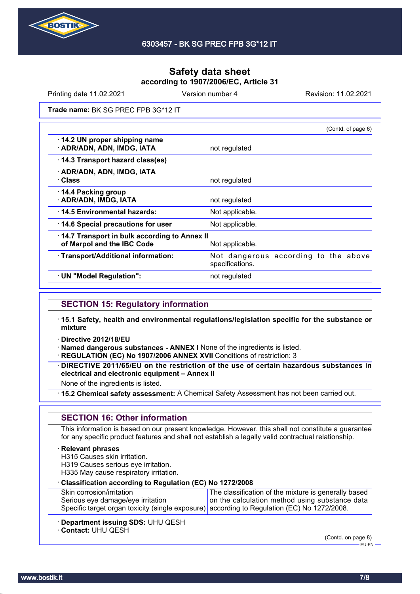

Printing date 11.02.2021 **Version number 4** Revision: 11.02.2021

**Trade name:** BK SG PREC FPB 3G\*12 IT

|                                                                            | (Contd. of page 6)                                      |
|----------------------------------------------------------------------------|---------------------------------------------------------|
| 14.2 UN proper shipping name<br>· ADR/ADN, ADN, IMDG, IATA                 | not regulated                                           |
| 14.3 Transport hazard class(es)                                            |                                                         |
| · ADR/ADN, ADN, IMDG, IATA<br>· Class                                      | not regulated                                           |
| 14.4 Packing group<br>· ADR/ADN, IMDG, IATA                                | not regulated                                           |
| 14.5 Environmental hazards:                                                | Not applicable.                                         |
| 14.6 Special precautions for user                                          | Not applicable.                                         |
| 14.7 Transport in bulk according to Annex II<br>of Marpol and the IBC Code | Not applicable.                                         |
| · Transport/Additional information:                                        | Not dangerous according to the above<br>specifications. |
| · UN "Model Regulation":                                                   | not regulated                                           |
|                                                                            |                                                         |

#### **SECTION 15: Regulatory information**

- · **15.1 Safety, health and environmental regulations/legislation specific for the substance or mixture**
- · **Directive 2012/18/EU**

· **Named dangerous substances - ANNEX I** None of the ingredients is listed.

· **REGULATION (EC) No 1907/2006 ANNEX XVII** Conditions of restriction: 3

· **DIRECTIVE 2011/65/EU on the restriction of the use of certain hazardous substances in electrical and electronic equipment – Annex II**

None of the ingredients is listed.

· **15.2 Chemical safety assessment:** A Chemical Safety Assessment has not been carried out.

## **SECTION 16: Other information**

This information is based on our present knowledge. However, this shall not constitute a guarantee for any specific product features and shall not establish a legally valid contractual relationship.

#### · **Relevant phrases**

H315 Causes skin irritation.

- H319 Causes serious eye irritation.
- H335 May cause respiratory irritation.

| Classification according to Regulation (EC) No 1272/2008                                                                         |                                                      |  |
|----------------------------------------------------------------------------------------------------------------------------------|------------------------------------------------------|--|
| Skin corrosion/irritation                                                                                                        | The classification of the mixture is generally based |  |
| Serious eye damage/eye irritation<br>Specific target organ toxicity (single exposure) according to Regulation (EC) No 1272/2008. | on the calculation method using substance data       |  |
|                                                                                                                                  |                                                      |  |

- · **Department issuing SDS:** UHU QESH
- · **Contact:** UHU QESH

(Contd. on page 8)

EU-EN